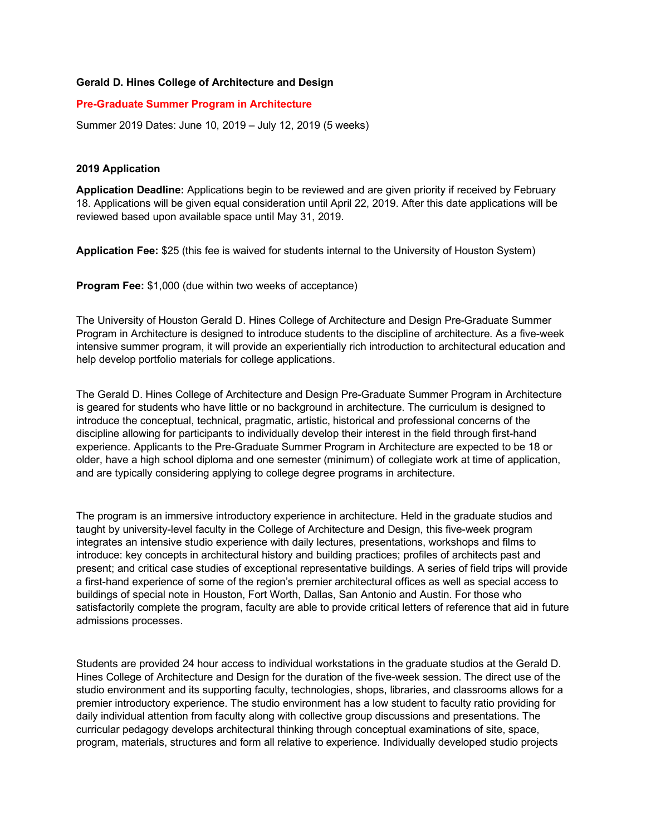# **Gerald D. Hines College of Architecture and Design**

# **Pre-Graduate Summer Program in Architecture**

Summer 2019 Dates: June 10, 2019 – July 12, 2019 (5 weeks)

### **2019 Application**

**Application Deadline:** Applications begin to be reviewed and are given priority if received by February 18. Applications will be given equal consideration until April 22, 2019. After this date applications will be reviewed based upon available space until May 31, 2019.

**Application Fee:** \$25 (this fee is waived for students internal to the University of Houston System)

**Program Fee:** \$1,000 (due within two weeks of acceptance)

The University of Houston Gerald D. Hines College of Architecture and Design Pre-Graduate Summer Program in Architecture is designed to introduce students to the discipline of architecture. As a five-week intensive summer program, it will provide an experientially rich introduction to architectural education and help develop portfolio materials for college applications.

The Gerald D. Hines College of Architecture and Design Pre-Graduate Summer Program in Architecture is geared for students who have little or no background in architecture. The curriculum is designed to introduce the conceptual, technical, pragmatic, artistic, historical and professional concerns of the discipline allowing for participants to individually develop their interest in the field through first-hand experience. Applicants to the Pre-Graduate Summer Program in Architecture are expected to be 18 or older, have a high school diploma and one semester (minimum) of collegiate work at time of application, and are typically considering applying to college degree programs in architecture.

The program is an immersive introductory experience in architecture. Held in the graduate studios and taught by university-level faculty in the College of Architecture and Design, this five-week program integrates an intensive studio experience with daily lectures, presentations, workshops and films to introduce: key concepts in architectural history and building practices; profiles of architects past and present; and critical case studies of exceptional representative buildings. A series of field trips will provide a first-hand experience of some of the region's premier architectural offices as well as special access to buildings of special note in Houston, Fort Worth, Dallas, San Antonio and Austin. For those who satisfactorily complete the program, faculty are able to provide critical letters of reference that aid in future admissions processes.

Students are provided 24 hour access to individual workstations in the graduate studios at the Gerald D. Hines College of Architecture and Design for the duration of the five-week session. The direct use of the studio environment and its supporting faculty, technologies, shops, libraries, and classrooms allows for a premier introductory experience. The studio environment has a low student to faculty ratio providing for daily individual attention from faculty along with collective group discussions and presentations. The curricular pedagogy develops architectural thinking through conceptual examinations of site, space, program, materials, structures and form all relative to experience. Individually developed studio projects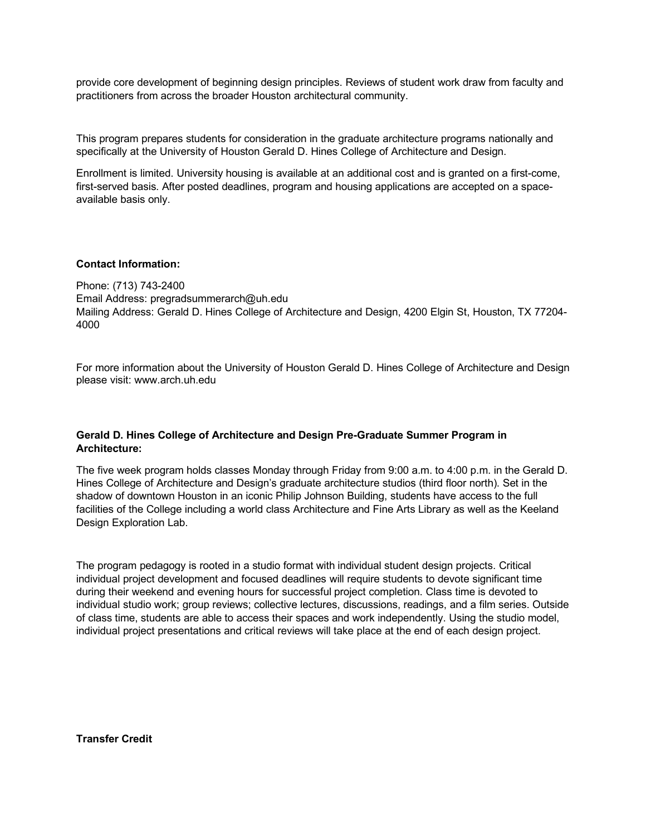provide core development of beginning design principles. Reviews of student work draw from faculty and practitioners from across the broader Houston architectural community.

This program prepares students for consideration in the graduate architecture programs nationally and specifically at the University of Houston Gerald D. Hines College of Architecture and Design.

Enrollment is limited. University housing is available at an additional cost and is granted on a first-come, first-served basis. After posted deadlines, program and housing applications are accepted on a spaceavailable basis only.

#### **Contact Information:**

Phone: (713) 743-2400 Email Address: pregradsummerarch@uh.edu Mailing Address: Gerald D. Hines College of Architecture and Design, 4200 Elgin St, Houston, TX 77204- 4000

For more information about the University of Houston Gerald D. Hines College of Architecture and Design please visit: www.arch.uh.edu

### **Gerald D. Hines College of Architecture and Design Pre-Graduate Summer Program in Architecture:**

The five week program holds classes Monday through Friday from 9:00 a.m. to 4:00 p.m. in the Gerald D. Hines College of Architecture and Design's graduate architecture studios (third floor north). Set in the shadow of downtown Houston in an iconic Philip Johnson Building, students have access to the full facilities of the College including a world class Architecture and Fine Arts Library as well as the Keeland Design Exploration Lab.

The program pedagogy is rooted in a studio format with individual student design projects. Critical individual project development and focused deadlines will require students to devote significant time during their weekend and evening hours for successful project completion. Class time is devoted to individual studio work; group reviews; collective lectures, discussions, readings, and a film series. Outside of class time, students are able to access their spaces and work independently. Using the studio model, individual project presentations and critical reviews will take place at the end of each design project.

**Transfer Credit**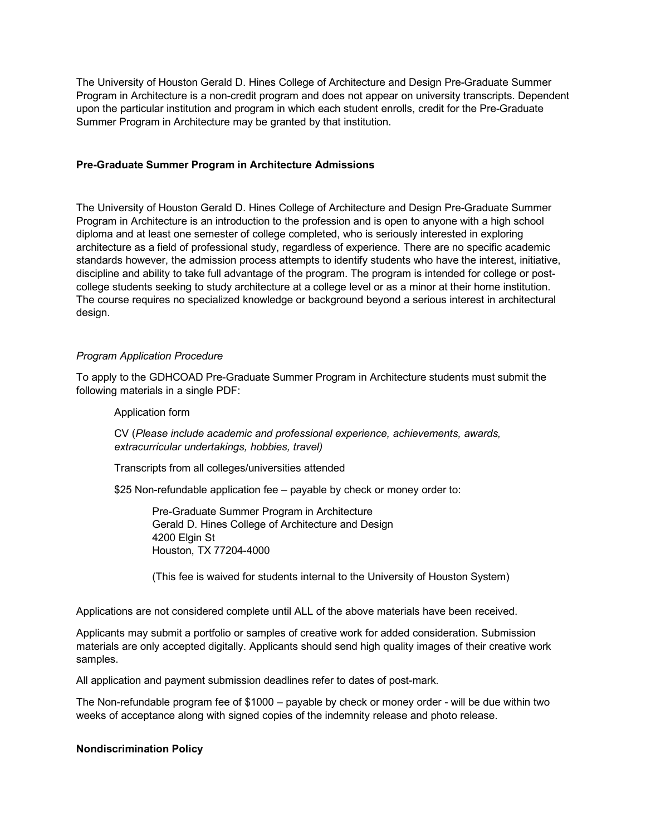The University of Houston Gerald D. Hines College of Architecture and Design Pre-Graduate Summer Program in Architecture is a non-credit program and does not appear on university transcripts. Dependent upon the particular institution and program in which each student enrolls, credit for the Pre-Graduate Summer Program in Architecture may be granted by that institution.

# **Pre-Graduate Summer Program in Architecture Admissions**

The University of Houston Gerald D. Hines College of Architecture and Design Pre-Graduate Summer Program in Architecture is an introduction to the profession and is open to anyone with a high school diploma and at least one semester of college completed, who is seriously interested in exploring architecture as a field of professional study, regardless of experience. There are no specific academic standards however, the admission process attempts to identify students who have the interest, initiative, discipline and ability to take full advantage of the program. The program is intended for college or postcollege students seeking to study architecture at a college level or as a minor at their home institution. The course requires no specialized knowledge or background beyond a serious interest in architectural design.

### *Program Application Procedure*

To apply to the GDHCOAD Pre-Graduate Summer Program in Architecture students must submit the following materials in a single PDF:

Application form

CV (*Please include academic and professional experience, achievements, awards, extracurricular undertakings, hobbies, travel)*

Transcripts from all colleges/universities attended

\$25 Non-refundable application fee – payable by check or money order to:

Pre-Graduate Summer Program in Architecture Gerald D. Hines College of Architecture and Design 4200 Elgin St Houston, TX 77204-4000

(This fee is waived for students internal to the University of Houston System)

Applications are not considered complete until ALL of the above materials have been received.

Applicants may submit a portfolio or samples of creative work for added consideration. Submission materials are only accepted digitally. Applicants should send high quality images of their creative work samples.

All application and payment submission deadlines refer to dates of post-mark.

The Non-refundable program fee of \$1000 – payable by check or money order - will be due within two weeks of acceptance along with signed copies of the indemnity release and photo release.

### **Nondiscrimination Policy**